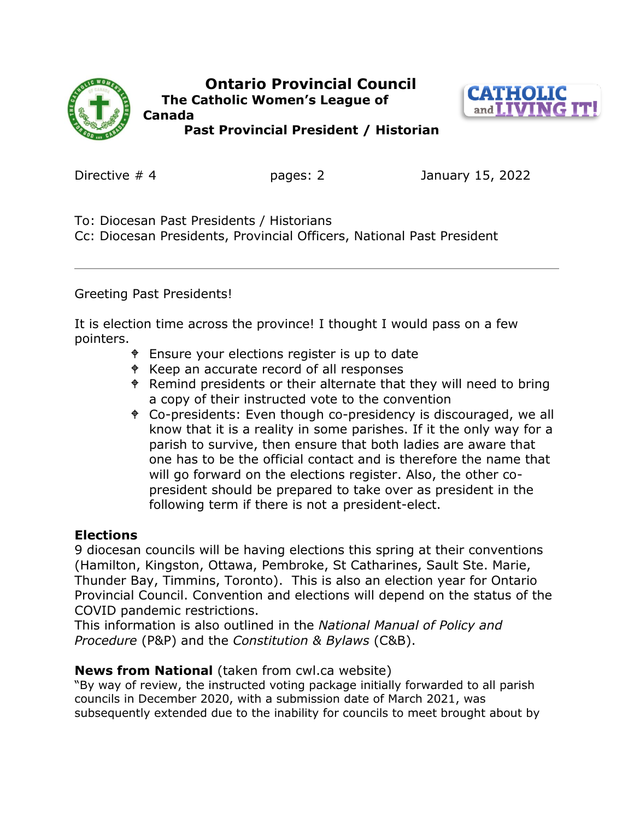

 **Ontario Provincial Council The Catholic Women's League of Canada** 



 **Past Provincial President / Historian** 

Directive # 4 pages: 2 January 15, 2022

To: Diocesan Past Presidents / Historians

Cc: Diocesan Presidents, Provincial Officers, National Past President

Greeting Past Presidents!

It is election time across the province! I thought I would pass on a few pointers.

- **Ensure your elections register is up to date**
- Keep an accurate record of all responses
- $\bullet$  Remind presidents or their alternate that they will need to bring a copy of their instructed vote to the convention
- Co-presidents: Even though co-presidency is discouraged, we all know that it is a reality in some parishes. If it the only way for a parish to survive, then ensure that both ladies are aware that one has to be the official contact and is therefore the name that will go forward on the elections register. Also, the other copresident should be prepared to take over as president in the following term if there is not a president-elect.

## **Elections**

9 diocesan councils will be having elections this spring at their conventions (Hamilton, Kingston, Ottawa, Pembroke, St Catharines, Sault Ste. Marie, Thunder Bay, Timmins, Toronto). This is also an election year for Ontario Provincial Council. Convention and elections will depend on the status of the COVID pandemic restrictions.

This information is also outlined in the *National Manual of Policy and Procedure* (P&P) and the *Constitution & Bylaws* (C&B).

## **News from National** (taken from cwl.ca website)

"By way of review, the instructed voting package initially forwarded to all parish councils in December 2020, with a submission date of March 2021, was subsequently extended due to the inability for councils to meet brought about by